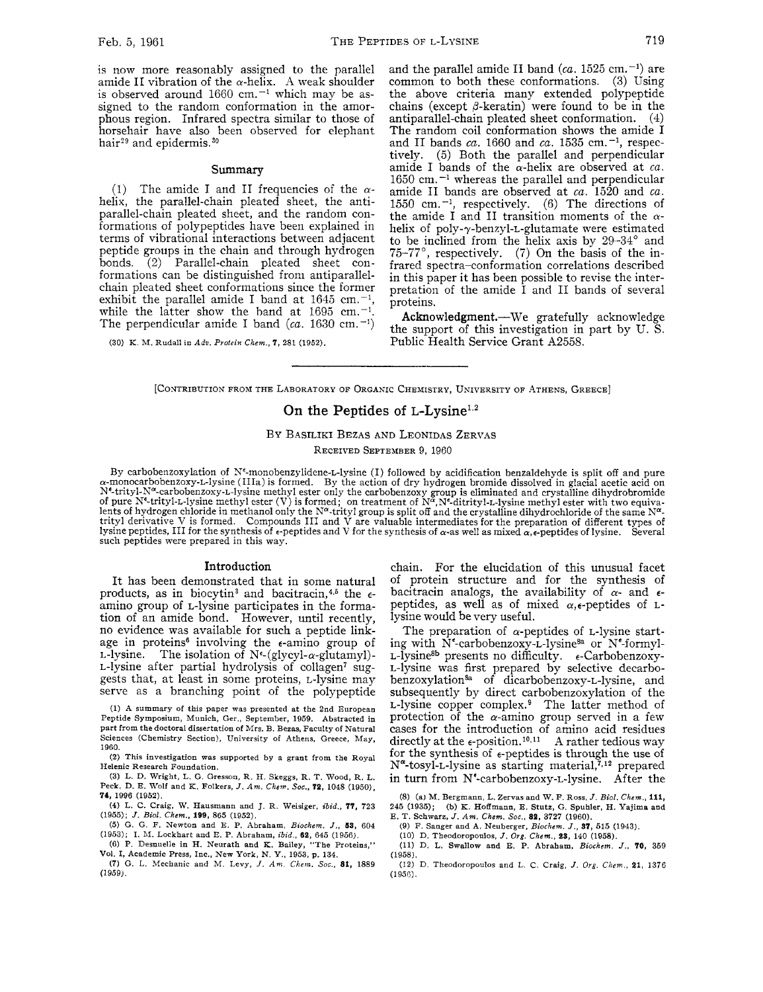is now more reasonably assigned to the parallel amide II vibration of the  $\alpha$ -helix. A weak shoulder is observed around  $1660$  cm.<sup> $-1$ </sup> which may be assigned to the random conformation in the amorphous region. Infrared spectra similar to those of horsehair have also been observed for elephant hair<sup>29</sup> and epidermis.<sup>30</sup>

### Summary

(1) The amide I and II frequencies of the  $\alpha$ helix, the parallel-chain pleated sheet, the antiparallel-chain pleated sheet, and the random conformations of polypeptides have been explained in terms of vibrational interactions between adjacent peptide groups in the chain and through hydrogen  $(2)$  Parallel-chain pleated sheet conformations can be distinguished from antiparallelchain pleated sheet conformations since the former exhibit the parallel amide I band at  $1645$  cm.<sup>-1</sup>, while the latter show the band at  $1695$  cm.<sup>-1</sup>. The perpendicular amide I band  $(ca. 1630 cm.$ <sup>-1</sup>)

(30) K. M. Rudall in *Adw. Pvolein Chem., 7,* 281 (1952).

and the parallel amide II band  $(ca. 1525 cm.$ <sup>-1</sup>) are common to both these conformations. **(3)** Using the above criteria many extended polypeptide chains (except  $\beta$ -keratin) were found to be in the antiparallel-chain pleated sheet conformation. (4) The random coil conformation shows the amide I and II bands  $ca$ . 1660 and  $ca$ . 1535 cm.<sup>-1</sup>, respectively. (5) Both the parallel and perpendicular  $(5)$  Both the parallel and perpendicular amide I bands of the  $\alpha$ -helix are observed at  $ca$ .  $1650$  cm.<sup> $-1$ </sup> whereas the parallel and perpendicular amide I1 bands are observed at *ca.* 1520 and *ca.*  1550 cm.-', respectively. (6) The directions of the amide I and I1 transition moments of the *a*helix of poly-y-benzyl-L-glutamate were estimated to be inclined from the helix axis by 29-34' and 75-77', respectively. (7) On the basis of the infrared spectra-conformation correlations described in this paper it has been possible to revise the interpretation of the amide I and I1 bands of several proteins.

Acknowledgment.--We gratefully acknowledge the support of this investigation in part by U. *S.*  Public Health Service Grant A2558.

[CONTRIBUTION FROM THE LABORATORY OF ORGANIC CHEMISTRY, UNIVERSITY OF ATHENS, GREECE]

## On the Peptides of L-Lysine<sup>1,2</sup>

# BY BASILIKI BEZAS AND LEONIDAS ZERVAS

RECEIVED SEPTEMBER 9, 1960

By carbobenzoxylation of Ne-monobenzylidene-L-lysine (I) followed **by** acidification benzaldehyde is split off and pure a-monocarbobenzoxy-L-lysine (IIIa) is formed. By the action of dry hydrogen bromide dissolved in glacial acetic acid on N<sup>e</sup>-trityl-N<sup>α</sup>-carbobenzoxy-L-lysine methyl ester only the carbobenzoxy group is eliminated and crystalline dihydrobromide<br>of pure N<sup>e</sup>-trityl-L-lysine methyl ester (V) is formed; on treatment of Nª,Nª-ditrityl-L-lysine lents of hydrogen chloride in methanol only the N<sup>α</sup>-trityl group is split off and the crystalline dihydrochloride of the same N<sup>α</sup>-<br>trityl derivative V is formed. Compounds III and V are valuable intermediates for the pr lysine peptides, III for the synthesis of e-peptides and V for the synthesis of  $\alpha$ -as well as mixed  $\alpha$ , $\epsilon$ -peptides of lysine. Several such peptides were prepared in this way.

#### Introduction

It has been demonstrated that in some natural products, as in biocytin<sup>3</sup> and bacitracin,<sup>4,5</sup> the  $\epsilon$ amino group of L-lysine participates in the formation of an amide bond. However, until recently, no evidence was available for such a peptide linkage in proteins<sup>6</sup> involving the  $\epsilon$ -amino group of L-lysine. The isolation of  $N^{\epsilon}$ -(glycyl- $\alpha$ -glutamyl)-L-lysine after partial hydrolysis of collagen7 suggests that, at least in some proteins, L-lysine may serve as a branching point of the polypeptide

(1) A summary of this paper was presented at the 2nd European Peptide Symposium, Munich, Ger., September, 1959. Abstracted in part from the doctoral dissertation of Mrs. **B.** Bezas, Faculty of Natural Sciences (Chemistry Section), University of Athens, Greece, May, 1960.

(2) This investigation was supported by a grant from the Royal Helenic Research Foundation.

(3) L. D. Wright, L. G. Gresson, R. H. Skeggs, R. T. Wood, **R.** L. Peck, D. E. Wolf and K. Folkers, *J. Am. Chem. Soc.,* **73,** 1048 (1950), **74,** 1996 (1952).

*(4)* L. C. Craig, W. Hausmann and J. R. Weisiger. *ibid.,* **77,** 723 (1955); *J. Bid. Chem..* **199,** 865 (1952).

(5) G. G. F. Newton and E. P. Abraham, *Biochem. J.,* **5S,** 604 (1953); I. *AI.* Lockhart and E. P. Abraham, *ibid.. 63,* 645 (1966). *(6)* P. Desnuelle in H. Neurath and K. Bailey, "The Proteins,"

Vol. I, Academic Press, **Inc.,** New York, N. Y., 1953, p. 134. (7) G. L. Mechanic and M. Levy, J. Am *Chem. Soc., 81,* <sup>1889</sup>

*(1* 959).

chain. For the elucidation of this unusual facet of protein structure and for the synthesis of bacitracin analogs, the availability of  $\alpha$ - and  $\epsilon$ peptides, as well as of mixed  $\alpha$ , e-peptides of Llysine would be very useful.

The preparation of  $\alpha$ -peptides of *L*-lysine starting with  $N^{\epsilon}$ -carbobenzoxy-L-lysine<sup>8a</sup> or  $N^{\epsilon}$ -formyl- $L$ -lysine<sup>8b</sup> presents no difficulty.  $\epsilon$ -Carbobenzoxy-L-lysine was first prepared by selective decarbobenzoxylation<sup>8a</sup> of dicarbobenzoxy-L-lysine, and subsequently by direct carbobenzoxylation of the  $L$ -lysine copper complex. $9$  The latter method of protection of the  $\alpha$ -amino group served in a few cases for the introduction of amino acid residues directly at the  $\epsilon$ -position.<sup>10,11</sup> A rather tedious way for the synthesis of  $\epsilon$ -peptides is through the use of  $N^{\alpha}$ -tosyl-L-lysine as starting material,  $7^{12}$  prepared in turn from Nf-carbobenzoxy-L-lysine. After the

(8) (a1 M. Bergmann, L. Zervas and W. F. Ross, *J. Bid. Chem.,* **ill,**  245 (1935); (b) K. Hoffmann, E. Stute, G. Spuhler, H. Yajima and E. T. Schwarz, *J. Am. Chem.* Soc., **83,** 3727 (1960).

(9) F. Sanger and A. Neuberger, *Biochem. J.,* **37,** 515 (1943).

(10) D. Theodoropoulos, *J. Org. Chem.*, 23, 140 (1958).

(11) D. L. Swallow and E. P. Abraham, *Biochcm. J.. 70,* 359 (1958).

(12) D. Theodoropoulos and L. C. Craig, *J.* **Org.** *Ciiem.,* **21,** 1376  $(1956)$ .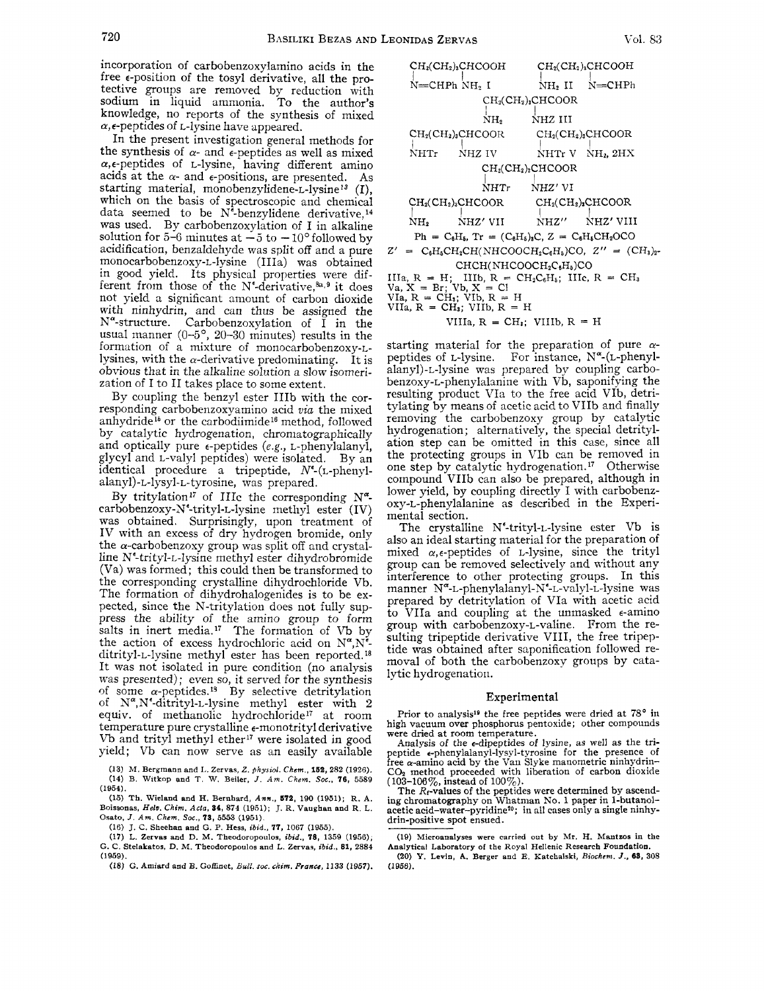incorporation of carbobenzoxylamino acids in the free  $\epsilon$ -position of the tosyl derivative, all the protective groups are removed by reduction with sodium in liquid ammonia. To the author's knowledge, no reports of the synthesis of mixed *a,* €-peptides of L-lysine have appeared.

In the present investigation general methods for the synthesis of  $\alpha$ - and  $\epsilon$ -peptides as well as mixed  $\alpha$ , e-peptides of L-lysine, having different amino acids at the  $\alpha$ - and  $\epsilon$ -positions, are presented. As starting material, monobenzylidene- $L$ -lysine<sup>13</sup> (I), which on the basis of spectroscopic and chemical data seemed to be  $N^2$ -benzylidene derivative,<sup>14</sup> was used. By carbobenzoxylation of I in alkaline solution for  $5-6$  minutes at  $-5$  to  $-10^{\circ}$  followed by solution for  $5-6$  minutes at  $-5$  to  $-10^{\circ}$  followed by acidification, benzaldehyde was split off and a pure monocarbobenzoxy-L-lysine (IIIa) was obtained in good yield. Its physical properties were different from those of the  $N^{\epsilon}$ -derivative,  $a_{\epsilon}$ ,  $\epsilon$  it does not yield a significant amount of carbon dioxide with ninhydrin, and can thus be assigned the  $N^{\alpha}$ -structure. Carbobenzoxylation of  $\tilde{I}$  in the usual manner ( $0-5^\circ$ ,  $20-30$  minutes) results in the formation of a mixture of monocarbobenzoxy-Llysines, with the  $\alpha$ -derivative predominating. It is obvious that in the alkaline solution *a* slow isomerization of I to I1 takes place to some extent.

By coupling the benzyl ester IIIb with the corresponding carbobenzoxyamino acid *via* the mixed anhydride<sup>16</sup> or the carbodiimide<sup>16</sup> method, followed by catalytic hydrogenation, chromatographically and optically pure e-peptides **(e.g.,** L-phenylalanyl, glycyl and L-valyl peptides) were isolated. By an identical procedure a tripeptide, W-(L-phenyl**alanyl)-L-lysyl-L-tyrosine,** was prepared.

By tritylation<sup>17</sup> of IIIc the corresponding N<sup>a</sup>carbobenzoxy-N'-trityl-L-lysine methyl ester (IV) was obtained. Surprisingly, upon treatment of IV with an excess of dry hydrogen bromide, only the  $\alpha$ -carbobenzoxy group was split off and crystalline N<sup>e</sup>-trityl-L-lysine methyl ester dihydrobromide (Va) was formed; this could then be transformed to the corresponding crystalline dihydrochloride Vb. The formation of dihydrohalogenides is to be expected, since the N-tritylation does not fully suppress the ability of the amino group to form salts in inert media.<sup>17</sup> The formation of Vb by the action of excess hydrochloric acid on  $N^{\alpha}$ ,  $N^{\xi}$ ditrityl-L-lysine methyl ester has been reported. It was not isolated in pure condition (no analysis was presented); even so, it served for the synthesis of some  $\alpha$ -peptides.<sup>18</sup> By selective detritylation of N",N'-ditrityl-L-lysine methyl ester with **2**  equiv. of inethanolic hydrochloride" at room temperature pure crystalline e-monotrityl derivative Vb and trityl methyl ether'' were isolated in good yield; Vb can now serve as an easily available

(13) M. **Bergmann and** I,. **Zervas,** *Z. physiol. Chcm.,* **163, 282** (1926). **(14)** B. **Witkop and T. W. Beiler,** *J. Am. Chem.* Soc., **76,** 5589 (1954).

(15) **Th. Wieland and H. Bernhard,** *Ann.,* **573,** 190 (1951); **R. A. Boissonas,** *Helu. Chim.* **Acfa, 84, 874** (1951); J. **R. Vaughan and R. L. Osato,** *J.* **Am.** *Chem. SOC.,* **78,** 5553 (1951).

(16) J. **C. Sheehan and** *G.* **P. Hess,** *ibid.. 77,* 1067 (1955).

(17) **L. Zervas and D. M. Theodoropoulos,** *ibid., 78,* 1359 **(1956);**  G. C. **Stelakatos, D.** M. **Theodoropoulos and L. Zervas,** *ibid.,* **81, 2884**  (1959).

**(18)** *G.* **Amiard and** *B.* Goffinet, *Bull. SOC. clrim. Prance,* 1133 **(1957).** 

 $CH<sub>2</sub>(CH<sub>2</sub>)<sub>3</sub>CHCOOH$   $CH<sub>2</sub>(CH<sub>2</sub>)<sub>3</sub>CHCOOH$  $N=$ CHPh  $NH_2$  I  $\quad \text{NH}_2$  II  $\quad N=$ CHPh  $CH<sub>2</sub>(CH<sub>2</sub>)<sub>3</sub>CHCOOR$  $N_{\rm H_2}$   $N_{\rm H_2}$  III  $CH<sub>2</sub>(CH<sub>2</sub>)<sub>3</sub>CHCOOR$   $CH<sub>2</sub>(CH<sub>2</sub>)<sub>3</sub>CHCOOR$  $\overrightarrow{N}$ HTr  $\overrightarrow{N}$ HTr V  $\overrightarrow{N}$ H<sub>1</sub>, 2HX  $CH<sub>2</sub>(CH<sub>2</sub>)<sub>2</sub>CHCOOR$ NHT<sub>r</sub> NHZ' VI  $CH<sub>2</sub>(CH<sub>2</sub>)<sub>3</sub>CHCOOR$   $CH<sub>2</sub>(CH<sub>2</sub>)<sub>3</sub>CHCOOR$  $\overline{N}$ H<sub>2</sub>  $\overline{N}$ HZ'VII  $\overline{N}$ HZ''  $\overline{N}$ NHZ" NHZ' VI11  $Ph = C_6H_5$ ,  $Tr = (C_6H_5)_8C$ ,  $Z = C_6H_5CH_2OCO$ NH<sub>2</sub>  $Z'$  =  $C_6H_6CH_2CH(NHCOOCH_2C_6H_6)CO$ ,  $Z''$  =  $(CH_3)_{2^-}$ CHCH(NHCOOCH<sub>2</sub>C<sub>6</sub>H<sub>6</sub>)CO IIIa,  $R = H$ ; IIIb,  $R = C$ <br>Va,  $X = Br$ ; Vb,  $X = Cl$ <br>VIa,  $R = CH_3$ ; VIb,  $R = H$ VIIa,  $R = CH_3$ ; VIIb,  $R = H$ IIIb,  $R = CH_2C_6H_5$ ; IIIc,  $R = CH_3$ 

VIIIa,  $R = CH_3$ ; VIIIb,  $R = H$ 

starting material for the preparation of pure *a*peptides of L-lysine. For instance, N"-(L-phenylalanyl)-L-lysine was prepared by coupling carbobenzoxy-L-phenylalanine with Vb, saponifying the resulting product VIa to the free acid VIb, detritylating by means of acetic acid to VIIb and finally removing the carbobenzoxy group by catalytic hydrogenation ; alternatively, the special detritylation step can be omitted in this case, since all the protecting groups in VIb can be removed in one step by catalytic hydrogenation.17 Otherwise compound VIIb can also be prepared, although in lower yield, by coupling directly I with carbobenzoxy-L-phenylalanine as described in the Experimental section.

The crystalline  $N^{\epsilon}$ -trityl-L-lysine ester Vb is also an ideal starting material for the preparation of mixed  $\alpha$ , $\epsilon$ -peptides of L-lysine, since the trityl group can be removed selectively and without any interference to other protecting groups. In this manner N<sup>a-</sup>L-phenylalanyl-N<sup>e-</sup>L-valyl-L-lysine was prepared by detritylation of VIa with acetic acid to VIIa and coupling at the unmasked e-amino group with carbobenzoxy-L-valine. From the resulting tripeptide derivative VIII, the free tripeptide was obtained after saponification followed removal of both the carbobenzoxy groups by catalytic hydrogenation.

### Experimental

Prior to analysis<sup>19</sup> the free peptides were dried at 78° in high vacuum over phosphorus pentoxide; other compounds were dried at room temperature.

Analysis of the -dipeptides of lysine, *as* well as the tripeptide e-phenylalanyl-lysyl-tyrosine for the presence of free a-amino acid by the Van Slyke manometric ninhydrin-CO2 method proceeded with liberation of carbon dioxide

( **103-106~0,** instead of 100%). The &-values of the peptides were determined by ascend-ing chromatography on Whatnian No. 1 paper in l-butanolacetic acid-water-pyridine<sup>20</sup>; in all cases only a single ninhydrin-positive spot ensued.

**<sup>(19)</sup> Microanalyses were carried out by** Mr. **H. Mantzos** in **the Analytical Laboratory of the Royal Hellenic Research Foundation.** 

**<sup>(20)</sup>** *Y.* **Levin, A. Berger and E. Katchalski,** *Biochcm. J.,* **68, 308 (1956).**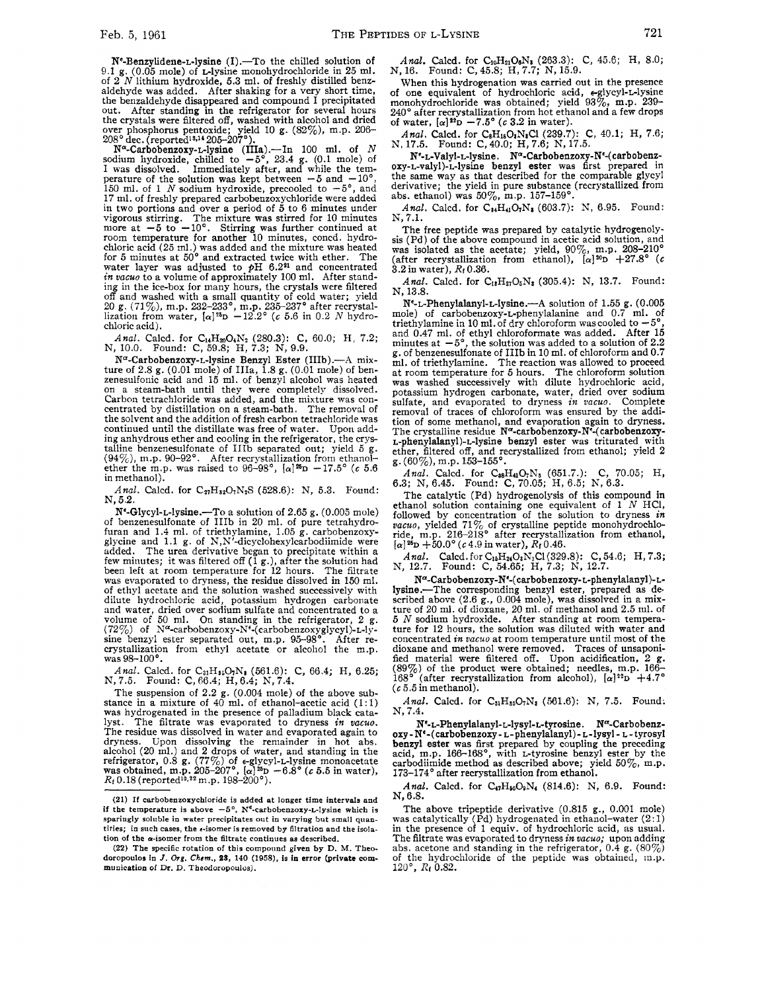$N^{\epsilon}$ -Benzylidene-L-lysine (I).--To the chilled solution of 9.1 g. **(0.05** mole) of clysine monohydrochloride in **25** ml. of **2** *N* lithium hydroxide, **5.3** ml. of freshly distilled benzaldehyde was added. After shaking for a very short time, the benzaldehyde disappeared and compound I precipitated out. After standing in the refrigerator for several hours the crystals were filtered off, washed with alcohol and dried over phosphorus pentoxide; yield 10 g. **(82%),** m.p. **206- 208'** dec. (reportedls\*l4 **205-207').** 

 $N^{\alpha}$ -Carbobenzoxy-L-lysine (IIIa).--In 100 ml. of N sodium hydroxide, chilled to  $-5^{\circ}$ , 23.4 g. (0.1 mole) of I was dissolved. Immediately after, and while the temperature of the solution was kept between  $-5$  and  $-10^{\circ}$ ,  $150$  ml. of 1 *N* sodium hydroxide, precooled to  $-5^{\circ}$ , and **17** ml. of freshly prepared carbobenzoxychloride were added in two portions and over a period of **5** to **6** minutes under vigorous stirring. The mixture was stirred for 10 minutes more at **-5** to -10'. Stirring was further continued at room temperature for another **10** minutes, concd. hydrochloric acid (25 ml.) was added and the mixture was heated<br>for 5 minutes at 50° and extracted twice with ether. The<br>water layer was adjusted to  $pH$  6.2<sup>21</sup> and concentrated<br>*in vacuo* to a volume of approximately 100 ml. ing in the ice-box for many hours, the crystals were filtered off and washed with a small quantity of cold water; yield<br>20 g. (71%), m.p. 232–233°, m.p. 235–237° after recrystal-<br>lization from water,  $[\alpha]^{35}D - 12.2$ ° (c 5.6 in 0.2 *N* hydrochloric acid).

*Anal.* Calcd. for C<sub>14</sub>H<sub>20</sub>O<sub>4</sub>N<sub>2</sub> (280.3): C, 60.0; H, 7.2; N, 10.0. Found: C, 59.8; H, 7.3; N, 9.9.

N<sup>a</sup>-Carbobenzoxy-L-lysine Benzyl Ester (IIIb).---A mixture of **2.8** g. (0.01 mole) of IIIa, **1.8** g. (0.01 mole) of benzenesulfonic acid and **15** ml. of benzyl alcohol was heated on a steam-bath until they were completely dissolved. centrated by distillation on a steam-bath. The removal of the solvent and the addition of fresh carbon tetrachloride was continued until the distillate was free of water. Upon adding anhydrous ether and cooling in the refrigerator, the crys talline benzenesulfonate of IIIb separated out; yield **5** g. (940/0), m.p. **90-92'.** After recrystallization from ethanol-ether the m.p. was raised to 96-98', **[&]I'D -17.5' (c 5.6**  in methanol).

Anal. Calcd. for C<sub>27</sub>H<sub>32</sub>O<sub>7</sub>N<sub>2</sub>S (528.6): N, 5.3. Found: **N, 5.2.** 

Ne-Glycyl-L-lysine.-To a solution of **2.65** g. (0.005 mole) of benzenesulfonate of IIIb in **20** ml. of pure tetrahydro-furan and 1.4 ml. of triethylamine, 1.05 g. carbobenzoxyglycine and **1.1** g. of N,N'-dicyclohexylcarbodiimide were added. The urea derivative began to precipitate within a few minutes; it was filtered off (1 g.), after the solution had been left at room temperature for **12** hours. The filtrate was evaporated to dryness, the residue dissolved in **150** ml. of ethyl acetate and the solution washed successively with dilute hydrochloric acid, potassium hydrogen carbonate diute nyaroculous acid, potassium sylucose trated to a and water, dried over sodium sulfate and concentrated to a volume of 50 ml. On standing in the refrigerator, 2 g. **(72%)** volume of  $\sqrt{2\%}$  of  $N^{\alpha}$ -carbobenzoxy- $N^{\epsilon}$ -carbobenzoxyglycyl)-L-ly-<br>sine benzyl ester separated out, m.p. 95-98°. After recrystallization from ethyl acetate or alcohol the m.p. was 98-100'.

*Anal.* Calcd. for CalH~~O~Na **(561.6):** C, **66.4;** H, **6.25; N,7.5.**  Found: C,66.4; **H,6.4;** N, **7.4.** 

The suspension of 2.2 g. (0.004 mole) of the above substance in a mixture of 40 ml. of ethanol-acetic acid (1:1) was hydrogenated in the presence of palladium black catawas hydrogenated in the presence of palladium black cata-lyst. The filtrate was evaporated to dryness *in vacuo*. The residue was dissolved in water and evaporated again to dryness. Upon dissolving the remainder in hot abs.<br>alcohol (20 ml.) and 2 drops of water, and standing in the<br>refrigerator, 0.8 g. (77%) of e-glycyl-L-lysine monoacetate<br>was obtained, m.p. 205-207°, [ $\alpha$ ]<sup>26</sup>D – 6.8° (*c Rr* 0.18 (reported10~z2 m.p. **198-200').** 

**(22) The specific rotation of this compound given by D.** M. **Theo**doropoulos in *J. Org. Chem.*, 23, 140 (1958), is in error (private com**munication of Dr.** D. **Theodoropoulos).** 

*Anal.* Calcd. for C<sub>10</sub>H<sub>21</sub>O<sub>6</sub>N<sub>3</sub> (263.3): C, 45.6; H, 8.0; N, 16. Found: C, 45.8; H, 7.7; N, 15.9.

When this hydrogenation was carried out in the presence of one equivalent of hydrochloric acid, tglycyl-L-lysine monohydrochloride was obtained; yield **93%,** m.p. 239- **240"** after recrystallization from hot ethanol and a few drops of water,  $[\alpha]^{22}D - 7.5^{\circ}$  (c 3.2 in water).

*Anal.* Calcd. for CsH180,NaCl **(239.7):** C, **40.1;** H, **7.6;**  N, **17.5.** Found: C,40.0; **H,7.6;** N, **17.5.** 

N<sup>e</sup>-L-Valvl-L-lysine. N<sup>a</sup>-Carbobenzoxy-N<sup>e</sup>-(carbobenzoxy-L-valy1)-L-lysine benzyl ester was first prepared in the same way as that described for the comparable glycyl derivative; the yield in pure substance (recrystallized from abs. ethanol) was **50%,** m.p. **157-159'.** 

Anal. Calcd. for C<sub>24</sub>H<sub>41</sub>O<sub>7</sub>N<sub>3</sub> (603.7): N, 6.95. Found: N, **7.1.** 

The free peptide was prepared by catalytic hydrogenolysis (Pd) of the above compound in acetic acid solution, and was isolated as the acetate; yield, 90%, m.p. **208-210'**  (after recrystallization from ethanol), *[CY]%* **+27.8" (c 3.2** in water), **Rf 0.36.** 

Anal. Calcd. for C<sub>18</sub>H<sub>27</sub>O<sub>5</sub>N<sub>8</sub> (305.4): N, 13.7. Found: N, **13.8.** 

**Ne-L-Phenylalanyl-L-lysine.-A** solution of **1.55** g. **(0.005**  mole) of **carbobenzoxy-L-phenylalanine** and **0.7** ml. **of**  triethylamine in 10 ml. of dry chloroform was cooled to  $-5'$ and **0.47** ml. of ethyl chloroformate was added. After **15**  minutes at  $-5^{\circ}$ , the solution was added to a solution of 2.2 g. of benzenesulfonate of IIIb in 10 ml. of chloroform and **0.7**  ml. of triethylamine. The reaction was allowed to proceed at room temperature for **5** hours. The chloroform solution was washed successively with dilute hydrochloric acid, potassium hydrogen carbonate, water, dried over sodium sulfate, and evaporated to dryness *in vacuo.* Complete removal of traces of chloroform was ensured by the addition of some methanol, and evaporation again to dryness. The crystalline residue N<sup>a</sup>-carbobenzoxy-N<sup>2</sup>-(carbobenzoxy-**L-phenylalanyl)-L-lysine** benzyl ester was triturated with ether, filtered off, and recrystallized from ethanol; yield **2**  g. **(60%),** m.p. **153-155'.** 

*Anal.* Calcd. for CssHa07Na **(651.7.):** C, **70.05;** H, **6.3;** N, **6.45.** Found: C, **70.05;** H, **6.5;** N, **6.3.** 

The catalytic (Pd) hydrogenolysis of this compound in ethanol solution containing one equivalent of 1 *N* HC1, followed by concentration of the solution to dryness *in vacuo*, yielded 71% of crystalline peptide monohydrochlo-<br>ride, m.p. 216-218° after recrystallization from ethanol,  $[\alpha]^{25}D + 50.0^{\circ}$  (*c* 4.9 in water),  $R_f$  0.46.

*Anal.* Calcd. for C<sub>16</sub>H<sub>24</sub>O<sub>1</sub>N<sub>3</sub>Cl(329.8): C, 54.6; H, 7.3; N, 12.7. <br>N, 12.7. Found: C, 54.65; H, 7.3; N, 12.7.

Na-Carbobenzoxy-Ne-( **carbobenzoxy-L-phenylalanyl)-** Llysine.-The corresponding benzyl ester, prepared as described above **(2.6** g., **0.004** mole), was dissolved in a mixture of **20** ml. of dioxane, **20** ml. of methanol and **2.5** ml. of **5** *N* sodium hydroxide. After standing at room temperature for **12** hours, the solution was diluted with water and concentrated *in vacuo* at room temperature until most of the dioxane and methanol were removed. Traces of unsaponified material were filtered off. Upon acidification, **2 g.**  (89%) of the product were obtained; needles, m.p.  $166-168$ <sup>o</sup> (after recrystallization from alcohol),  $[\alpha]^{22}D +4.7^{\circ}$ **(c 5.5** in methanol).

Anal. Calcd. for C<sub>31</sub>H<sub>35</sub>O<sub>7</sub>N<sub>3</sub> (561.6): N, 7.5. Found: N, **7.4.** 

Ne-L-Phenylalanyl-L-lysyl-L-tyrosine. N<sup>a</sup>-Carbobenzoxy-N(-(carbobenzoxy- **L-phenylalanyl)-L-lysyl-** L- tyrosyl benzyl ester was first prepared by coupling the preceding acid, m.p. 166-168°, with *L*-tyrosine benzyl ester by the carbodiimide method as described above; yield **50%,** m.p. **173-174'** after recrystallization from ethanol.

Anal. Calcd. for C<sub>47</sub>H<sub>50</sub>O<sub>9</sub>N<sub>4</sub> (814.6): N, 6.9. Found: N, **6.8.** 

The above tripeptide derivative (0.815 **g.,** 0.001 mole) was catalytically (Pd) hydrogenated in ethanol-water **(2:** 1) in the presence of 1 equiv. of hydrochloric acid, as usual.<br>The filtrate was evaporated to dryness *in vacuo*; upon adding<br>abs. acetone and standing in the refrigerator, 0.4 g. (80%)<br>of the hydrochloride of the peptide wa **120°,** *Rt* 0.82.

**<sup>(21)</sup> If carbobenzoxychloride is added at longer time intervals and if the temperature is above**  $-5^{\circ}$ **, N<sup>e</sup>-carbobenzoxy-L-lysine which is sparingly soluble in water precipitates out in varying but small quan**tities; in such cases, the  $\epsilon$ -isomer is removed by filtration and the isolation of the  $\alpha$ -isomer from the filtrate continues as described.